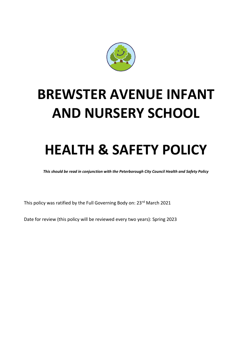

# **BREWSTER AVENUE INFANT AND NURSERY SCHOOL**

# **HEALTH & SAFETY POLICY**

*This should be read in conjunction with the Peterborough City Council Health and Safety Policy*

This policy was ratified by the Full Governing Body on: 23rd March 2021

Date for review (this policy will be reviewed every two years): Spring 2023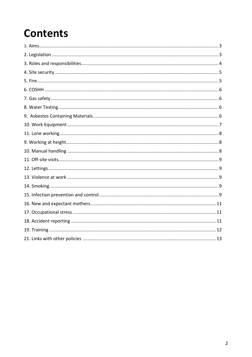# **Contents**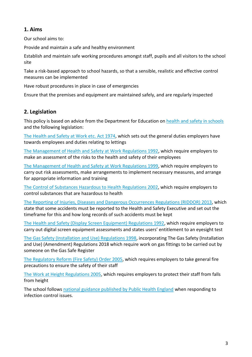# **1. Aims**

Our school aims to:

Provide and maintain a safe and healthy environment

Establish and maintain safe working procedures amongst staff, pupils and all visitors to the school site

Take a risk-based approach to school hazards, so that a sensible, realistic and effective control measures can be implemented

Have robust procedures in place in case of emergencies

Ensure that the premises and equipment are maintained safely, and are regularly inspected

# **2. Legislation**

This policy is based on advice from the Department for Education on [health and safety in schools](https://www.gov.uk/government/publications/health-and-safety-advice-for-schools) and the following legislation:

[The Health and Safety at Work etc. Act 1974,](http://www.legislation.gov.uk/ukpga/1974/37) which sets out the general duties employers have towards employees and duties relating to lettings

[The Management of Health and Safety at Work Regulations 1992,](http://www.legislation.gov.uk/uksi/1992/2051/regulation/3/made) which require employers to make an assessment of the risks to the health and safety of their employees

[The Management of Health and Safety at Work Regulations 1999,](http://www.legislation.gov.uk/uksi/1999/3242/contents/made) which require employers to carry out risk assessments, make arrangements to implement necessary measures, and arrange for appropriate information and training

[The Control of Substances Hazardous to Health Regulations 2002,](http://www.legislation.gov.uk/uksi/2002/2677/contents/made) which require employers to control substances that are hazardous to health

[The Reporting of Injuries, Diseases and Dangerous Occurrences Regulations](http://www.legislation.gov.uk/uksi/2013/1471/schedule/1/paragraph/1/made) (RIDDOR) 2013, which state that some accidents must be reported to the Health and Safety Executive and set out the timeframe for this and how long records of such accidents must be kept

[The Health and Safety \(Display Screen Equipment\) Regulations 1992,](http://www.legislation.gov.uk/uksi/1992/2792/contents/made) which require employers to carry out digital screen equipment assessments and states users' entitlement to an eyesight test

[The Gas Safety \(Installation and Use\) Regulations 1998,](http://www.legislation.gov.uk/uksi/1998/2451/regulation/4/made) incorporating The Gas Safety (Installation and Use) (Amendment) Regulations 2018 which require work on gas fittings to be carried out by someone on the Gas Safe Register

[The Regulatory Reform \(Fire Safety\) Order 2005,](http://www.legislation.gov.uk/uksi/2005/1541/part/2/made) which requires employers to take general fire precautions to ensure the safety of their staff

[The Work at Height Regulations 2005,](http://www.legislation.gov.uk/uksi/2005/735/contents/made) which requires employers to protect their staff from falls from height

The school follows [national guidance published by Public Health England](https://www.gov.uk/government/publications/health-protection-in-schools-and-other-childcare-facilities/chapter-9-managing-specific-infectious-diseases) when responding to infection control issues.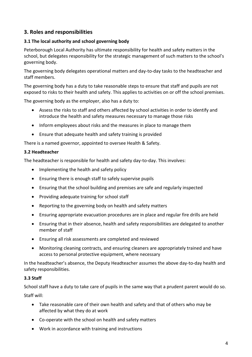# **3. Roles and responsibilities**

#### **3.1 The local authority and school governing body**

Peterborough Local Authority has ultimate responsibility for health and safety matters in the school, but delegates responsibility for the strategic management of such matters to the school's governing body.

The governing body delegates operational matters and day-to-day tasks to the headteacher and staff members.

The governing body has a duty to take reasonable steps to ensure that staff and pupils are not exposed to risks to their health and safety. This applies to activities on or off the school premises.

The governing body as the employer, also has a duty to:

- Assess the risks to staff and others affected by school activities in order to identify and introduce the health and safety measures necessary to manage those risks
- Inform employees about risks and the measures in place to manage them
- Ensure that adequate health and safety training is provided

There is a named governor, appointed to oversee Health & Safety.

#### **3.2 Headteacher**

The headteacher is responsible for health and safety day-to-day. This involves:

- Implementing the health and safety policy
- Ensuring there is enough staff to safely supervise pupils
- Ensuring that the school building and premises are safe and regularly inspected
- Providing adequate training for school staff
- Reporting to the governing body on health and safety matters
- Ensuring appropriate evacuation procedures are in place and regular fire drills are held
- Ensuring that in their absence, health and safety responsibilities are delegated to another member of staff
- Ensuring all risk assessments are completed and reviewed
- Monitoring cleaning contracts, and ensuring cleaners are appropriately trained and have access to personal protective equipment, where necessary

In the headteacher's absence, the Deputy Headteacher assumes the above day-to-day health and safety responsibilities.

#### **3.3 Staff**

School staff have a duty to take care of pupils in the same way that a prudent parent would do so.

Staff will:

- Take reasonable care of their own health and safety and that of others who may be affected by what they do at work
- Co-operate with the school on health and safety matters
- Work in accordance with training and instructions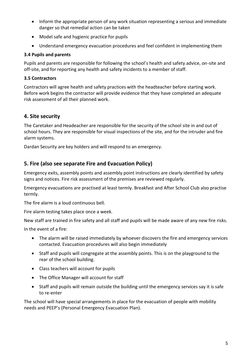- Inform the appropriate person of any work situation representing a serious and immediate danger so that remedial action can be taken
- Model safe and hygienic practice for pupils
- Understand emergency evacuation procedures and feel confident in implementing them

#### **3.4 Pupils and parents**

Pupils and parents are responsible for following the school's health and safety advice, on-site and off-site, and for reporting any health and safety incidents to a member of staff.

#### **3.5 Contractors**

Contractors will agree health and safety practices with the headteacher before starting work. Before work begins the contractor will provide evidence that they have completed an adequate risk assessment of all their planned work.

# **4. Site security**

The Caretaker and Headeacher are responsible for the security of the school site in and out of school hours. They are responsible for visual inspections of the site, and for the intruder and fire alarm systems.

Dardan Security are key holders and will respond to an emergency.

### **5. Fire (also see separate Fire and Evacuation Policy)**

Emergency exits, assembly points and assembly point instructions are clearly identified by safety signs and notices. Fire risk assessment of the premises are reviewed regularly.

Emergency evacuations are practised at least termly. Breakfast and After School Club also practise termly.

The fire alarm is a loud continuous bell.

Fire alarm testing takes place once a week.

New staff are trained in fire safety and all staff and pupils will be made aware of any new fire risks.

In the event of a fire:

- The alarm will be raised immediately by whoever discovers the fire and emergency services contacted. Evacuation procedures will also begin immediately
- Staff and pupils will congregate at the assembly points. This is on the playground to the rear of the school building.
- Class teachers will account for pupils
- The Office Manager will account for staff
- Staff and pupils will remain outside the building until the emergency services say it is safe to re-enter

The school will have special arrangements in place for the evacuation of people with mobility needs and PEEP's (Personal Emergency Evacuation Plan).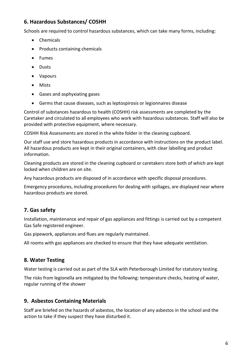# **6. Hazardous Substances/ COSHH**

Schools are required to control hazardous substances, which can take many forms, including:

- Chemicals
- Products containing chemicals
- Fumes
- Dusts
- Vapours
- Mists
- Gases and asphyxiating gases
- Germs that cause diseases, such as leptospirosis or legionnaires disease

Control of substances hazardous to health (COSHH) risk assessments are completed by the Caretaker and circulated to all employees who work with hazardous substances. Staff will also be provided with protective equipment, where necessary.

COSHH Risk Assessments are stored in the white folder in the cleaning cupboard.

Our staff use and store hazardous products in accordance with instructions on the product label. All hazardous products are kept in their original containers, with clear labelling and product information.

Cleaning products are stored in the cleaning cupboard or caretakers store both of which are kept locked when children are on site.

Any hazardous products are disposed of in accordance with specific disposal procedures.

Emergency procedures, including procedures for dealing with spillages, are displayed near where hazardous products are stored.

# **7. Gas safety**

Installation, maintenance and repair of gas appliances and fittings is carried out by a competent Gas Safe registered engineer.

Gas pipework, appliances and flues are regularly maintained.

All rooms with gas appliances are checked to ensure that they have adequate ventilation.

# **8. Water Testing**

Water testing is carried out as part of the SLA with Peterborough Limited for statutory testing.

The risks from legionella are mitigated by the following: temperature checks, heating of water, regular running of the shower

# **9. Asbestos Containing Materials**

Staff are briefed on the hazards of asbestos, the location of any asbestos in the school and the action to take if they suspect they have disturbed it.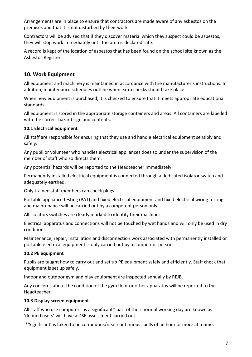Arrangements are in place to ensure that contractors are made aware of any asbestos on the premises and that it is not disturbed by their work.

Contractors will be advised that if they discover material which they suspect could be asbestos, they will stop work immediately until the area is declared safe.

A record is kept of the location of asbestos that has been found on the school site known as the Asbestos Register.

# **10. Work Equipment**

All equipment and machinery is maintained in accordance with the manufacturer's instructions. In addition, maintenance schedules outline when extra checks should take place.

When new equipment is purchased, it is checked to ensure that it meets appropriate educational standards.

All equipment is stored in the appropriate storage containers and areas. All containers are labelled with the correct hazard sign and contents.

#### **10.1 Electrical equipment**

All staff are responsible for ensuring that they use and handle electrical equipment sensibly and safely.

Any pupil or volunteer who handles electrical appliances does so under the supervision of the member of staff who so directs them.

Any potential hazards will be reported to the Headteacher immediately.

Permanently installed electrical equipment is connected through a dedicated isolator switch and adequately earthed.

Only trained staff members can check plugs.

Portable appliance testing (PAT) and fixed electrical equipment and fixed electrical wiring testing and maintenance will be carried out by a competent person only.

All isolators switches are clearly marked to identify their machine.

Electrical apparatus and connections will not be touched by wet hands and will only be used in dry conditions.

Maintenance, repair, installation and disconnection work associated with permanently installed or portable electrical equipment is only carried out by a competent person.

#### **10.2 PE equipment**

Pupils are taught how to carry out and set up PE equipment safely and efficiently. Staff check that equipment is set up safely.

Indoor and outdoor gym and play equipment are inspected annually by REJB.

Any concerns about the condition of the gym floor or other apparatus will be reported to the Headteacher.

#### **10.3 Display screen equipment**

All staff who use computers as a significant\* part of their normal working day are known as 'defined users' will have a DSE assessment carried out.

\*'Significant' is taken to be continuous/near continuous spells of an hour or more at a time.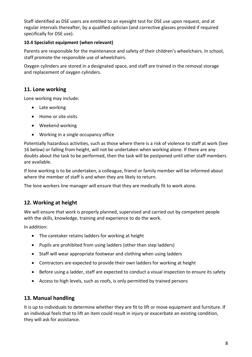Staff identified as DSE users are entitled to an eyesight test for DSE use upon request, and at regular intervals thereafter, by a qualified optician (and corrective glasses provided if required specifically for DSE use).

### **10.4 Specialist equipment (when relevant)**

Parents are responsible for the maintenance and safety of their children's wheelchairs. In school, staff promote the responsible use of wheelchairs.

Oxygen cylinders are stored in a designated space, and staff are trained in the removal storage and replacement of oxygen cylinders.

# **11. Lone working**

Lone working may include:

- Late working
- Home or site visits
- Weekend working
- Working in a single occupancy office

Potentially hazardous activities, such as those where there is a risk of violence to staff at work (See 16 below) or falling from height, will not be undertaken when working alone. If there are any doubts about the task to be performed, then the task will be postponed until other staff members are available.

If lone working is to be undertaken, a colleague, friend or family member will be informed about where the member of staff is and when they are likely to return.

The lone workers line manager will ensure that they are medically fit to work alone.

# **12. Working at height**

We will ensure that work is properly planned, supervised and carried out by competent people with the skills, knowledge, training and experience to do the work.

In addition:

- The caretaker retains ladders for working at height
- Pupils are prohibited from using ladders (other than step ladders)
- Staff will wear appropriate footwear and clothing when using ladders
- Contractors are expected to provide their own ladders for working at height
- Before using a ladder, staff are expected to conduct a visual inspection to ensure its safety
- Access to high levels, such as roofs, is only permitted by trained persons

# **13. Manual handling**

It is up to individuals to determine whether they are fit to lift or move equipment and furniture. If an individual feels that to lift an item could result in injury or exacerbate an existing condition, they will ask for assistance.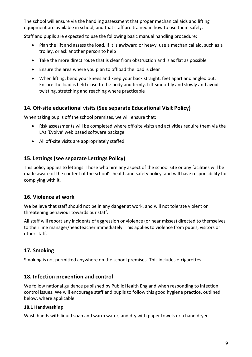The school will ensure via the handling assessment that proper mechanical aids and lifting equipment are available in school, and that staff are trained in how to use them safely.

Staff and pupils are expected to use the following basic manual handling procedure:

- Plan the lift and assess the load. If it is awkward or heavy, use a mechanical aid, such as a trolley, or ask another person to help
- Take the more direct route that is clear from obstruction and is as flat as possible
- Ensure the area where you plan to offload the load is clear
- When lifting, bend your knees and keep your back straight, feet apart and angled out. Ensure the load is held close to the body and firmly. Lift smoothly and slowly and avoid twisting, stretching and reaching where practicable

# **14. Off-site educational visits (See separate Educational Visit Policy)**

When taking pupils off the school premises, we will ensure that:

- Risk assessments will be completed where off-site visits and activities require them via the LAs 'Evolve' web based software package
- All off-site visits are appropriately staffed

# **15. Lettings (see separate Lettings Policy)**

This policy applies to lettings. Those who hire any aspect of the school site or any facilities will be made aware of the content of the school's health and safety policy, and will have responsibility for complying with it.

# **16. Violence at work**

We believe that staff should not be in any danger at work, and will not tolerate violent or threatening behaviour towards our staff.

All staff will report any incidents of aggression or violence (or near misses) directed to themselves to their line manager/headteacher immediately. This applies to violence from pupils, visitors or other staff.

# **17. Smoking**

Smoking is not permitted anywhere on the school premises. This includes e-cigarettes.

#### **18. Infection prevention and control**

We follow national guidance published by Public Health England when responding to infection control issues. We will encourage staff and pupils to follow this good hygiene practice, outlined below, where applicable.

#### **18.1 Handwashing**

Wash hands with liquid soap and warm water, and dry with paper towels or a hand dryer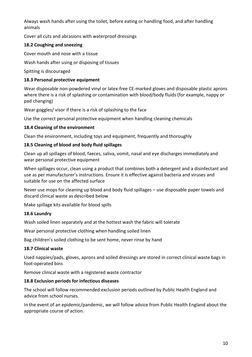Always wash hands after using the toilet, before eating or handling food, and after handling animals

Cover all cuts and abrasions with waterproof dressings

#### **18.2 Coughing and sneezing**

Cover mouth and nose with a tissue

Wash hands after using or disposing of tissues

Spitting is discouraged

#### **18.3 Personal protective equipment**

Wear disposable non-powdered vinyl or latex-free CE-marked gloves and disposable plastic aprons where there is a risk of splashing or contamination with blood/body fluids (for example, nappy or pad changing)

Wear goggles/ visor if there is a risk of splashing to the face

Use the correct personal protective equipment when handling cleaning chemicals

#### **18.4 Cleaning of the environment**

Clean the environment, including toys and equipment, frequently and thoroughly

#### **18.5 Cleaning of blood and body fluid spillages**

Clean up all spillages of blood, faeces, saliva, vomit, nasal and eye discharges immediately and wear personal protective equipment

When spillages occur, clean using a product that combines both a detergent and a disinfectant and use as per manufacturer's instructions. Ensure it is effective against bacteria and viruses and suitable for use on the affected surface

Never use mops for cleaning up blood and body fluid spillages – use disposable paper towels and discard clinical waste as described below

Make spillage kits available for blood spills

#### **18.6 Laundry**

Wash soiled linen separately and at the hottest wash the fabric will tolerate

Wear personal protective clothing when handling soiled linen

Bag children's soiled clothing to be sent home, never rinse by hand

#### **18.7 Clinical waste**

Used nappies/pads, gloves, aprons and soiled dressings are stored in correct clinical waste bags in foot-operated bins

Remove clinical waste with a registered waste contractor

#### **18.8 Exclusion periods for infectious diseases**

The school will follow recommended exclusion periods outlined by Public Health England and advice from school nurses.

In the event of an epidemic/pandemic, we will follow advice from Public Health England about the appropriate course of action.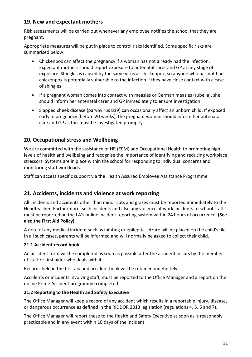# **19. New and expectant mothers**

Risk assessments will be carried out whenever any employee notifies the school that they are pregnant.

Appropriate measures will be put in place to control risks identified. Some specific risks are summarised below:

- Chickenpox can affect the pregnancy if a woman has not already had the infection. Expectant mothers should report exposure to antenatal carer and GP at any stage of exposure. Shingles is caused by the same virus as chickenpox, so anyone who has not had chickenpox is potentially vulnerable to the infection if they have close contact with a case of shingles
- If a pregnant woman comes into contact with measles or German measles (rubella), she should inform her antenatal carer and GP immediately to ensure investigation
- Slapped cheek disease (parvovirus B19) can occasionally affect an unborn child. If exposed early in pregnancy (before 20 weeks), the pregnant woman should inform her antenatal care and GP as this must be investigated promptly

# **20. Occupational stress and Wellbeing**

We are committed with the assistance of HR (EPM) and Occupational Health to promoting high levels of health and wellbeing and recognise the importance of identifying and reducing workplace stressors. Systems are in place within the school for responding to individual concerns and monitoring staff workloads.

Staff can access specific support via the Health Assured Employee Assistance Programme.

# **21. Accidents, incidents and violence at work reporting**

All incidents and accidents other than minor cuts and grazes must be reported immediately to the Headteacher. Furthermore, such incidents and also any violence at work incidents to school staff must be reported on the LA's online incident reporting system within 24 hours of occurrence. **(See also the First Aid Policy).**

A note of any medical incident such as fainting or epileptic seizure will be placed on the child's file. In all such cases, parents will be informed and will normally be asked to collect their child.

#### **21.1 Accident record book**

An accident form will be completed as soon as possible after the accident occurs by the member of staff or first aider who deals with it.

Records held in the first aid and accident book will be retained indefinitely

Accidents or incidents involving staff, must be reported to the Office Manager and a report on the online Prime Accident programme completed

#### **21.2 Reporting to the Health and Safety Executive**

The Office Manager will keep a record of any accident which results in a reportable injury, disease, or dangerous occurrence as defined in the RIDDOR 2013 legislation (regulations 4, 5, 6 and 7).

The Office Manager will report these to the Health and Safety Executive as soon as is reasonably practicable and in any event within 10 days of the incident.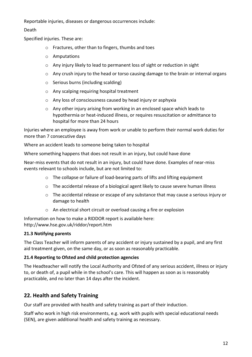Reportable injuries, diseases or dangerous occurrences include:

Death

Specified injuries. These are:

- o Fractures, other than to fingers, thumbs and toes
- o Amputations
- o Any injury likely to lead to permanent loss of sight or reduction in sight
- $\circ$  Any crush injury to the head or torso causing damage to the brain or internal organs
- o Serious burns (including scalding)
- o Any scalping requiring hospital treatment
- o Any loss of consciousness caused by head injury or asphyxia
- o Any other injury arising from working in an enclosed space which leads to hypothermia or heat-induced illness, or requires resuscitation or admittance to hospital for more than 24 hours

Injuries where an employee is away from work or unable to perform their normal work duties for more than 7 consecutive days

Where an accident leads to someone being taken to hospital

Where something happens that does not result in an injury, but could have done

Near-miss events that do not result in an injury, but could have done. Examples of near-miss events relevant to schools include, but are not limited to:

- o The collapse or failure of load-bearing parts of lifts and lifting equipment
- $\circ$  The accidental release of a biological agent likely to cause severe human illness
- $\circ$  The accidental release or escape of any substance that may cause a serious injury or damage to health
- o An electrical short circuit or overload causing a fire or explosion

Information on how to make a RIDDOR report is available here: http://www.hse.gov.uk/riddor/report.htm

#### **21.3 Notifying parents**

The Class Teacher will inform parents of any accident or injury sustained by a pupil, and any first aid treatment given, on the same day, or as soon as reasonably practicable.

#### **21.4 Reporting to Ofsted and child protection agencies**

The Headteacher will notify the Local Authority and Ofsted of any serious accident, illness or injury to, or death of, a pupil while in the school's care. This will happen as soon as is reasonably practicable, and no later than 14 days after the incident.

# **22. Health and Safety Training**

Our staff are provided with health and safety training as part of their induction.

Staff who work in high risk environments, e.g. work with pupils with special educational needs (SEN), are given additional health and safety training as necessary.